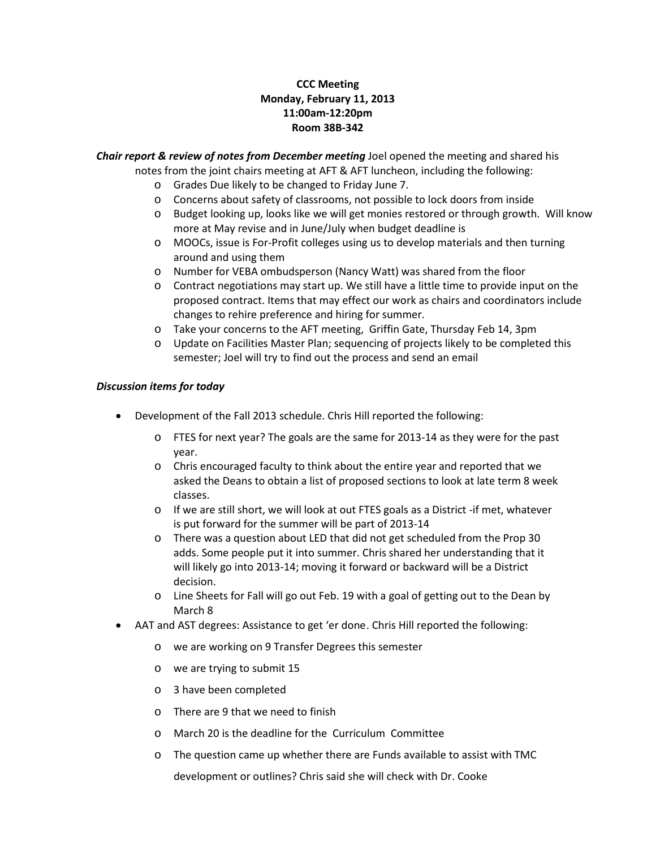## **CCC Meeting Monday, February 11, 2013 11:00am-12:20pm Room 38B-342**

*Chair report & review of notes from December meeting* Joel opened the meeting and shared his notes from the joint chairs meeting at AFT & AFT luncheon, including the following:

- o Grades Due likely to be changed to Friday June 7.
- o Concerns about safety of classrooms, not possible to lock doors from inside
- o Budget looking up, looks like we will get monies restored or through growth. Will know more at May revise and in June/July when budget deadline is
- o MOOCs, issue is For-Profit colleges using us to develop materials and then turning around and using them
- o Number for VEBA ombudsperson (Nancy Watt) was shared from the floor
- $\circ$  Contract negotiations may start up. We still have a little time to provide input on the proposed contract. Items that may effect our work as chairs and coordinators include changes to rehire preference and hiring for summer.
- o Take your concerns to the AFT meeting, Griffin Gate, Thursday Feb 14, 3pm
- o Update on Facilities Master Plan; sequencing of projects likely to be completed this semester; Joel will try to find out the process and send an email

## *Discussion items for today*

- Development of the Fall 2013 schedule. Chris Hill reported the following:
	- o FTES for next year? The goals are the same for 2013-14 as they were for the past year.
	- o Chris encouraged faculty to think about the entire year and reported that we asked the Deans to obtain a list of proposed sections to look at late term 8 week classes.
	- o If we are still short, we will look at out FTES goals as a District -if met, whatever is put forward for the summer will be part of 2013-14
	- o There was a question about LED that did not get scheduled from the Prop 30 adds. Some people put it into summer. Chris shared her understanding that it will likely go into 2013-14; moving it forward or backward will be a District decision.
	- o Line Sheets for Fall will go out Feb. 19 with a goal of getting out to the Dean by March 8
- AAT and AST degrees: Assistance to get 'er done. Chris Hill reported the following:
	- o we are working on 9 Transfer Degrees this semester
	- o we are trying to submit 15
	- o 3 have been completed
	- o There are 9 that we need to finish
	- o March 20 is the deadline for the Curriculum Committee
	- o The question came up whether there are Funds available to assist with TMC development or outlines? Chris said she will check with Dr. Cooke